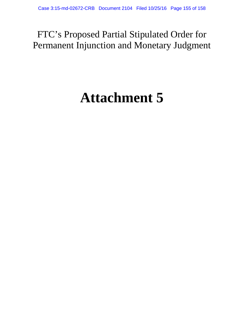# FTC's Proposed Partial Stipulated Order for Permanent Injunction and Monetary Judgment

# **Attachment 5**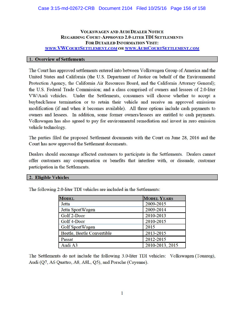## VOLKSWAGEN AND AUDI DEALER NOTICE REGARDING COURT-APPROVED 2.0-LITER TDI SETTLEMENTS FOR DETAILED INFORMATION VISIT: WWW.VWCOURTSETTLEMENT.COM OR WWW.AUDICOURTSETTLEMENT.COM

## 1. Overview of Settlements

The Comt has approved settlements entered into between Volkswagen Group of America and the United States and California (the U.S. Department of Justice on behalf of the Environmental Protection Agency, the California Air Resources Board, and the California Attorney General); the U.S. Federal Trade Commission; and a class comprised of owners and lessees of 2.0-liter VW/ Audi vehicles. Under the Settlements, consumers will choose whether to accept a buyback/lease tennination or to retain their vehicle and receive an approved emissions modification (if and when it becomes available). All three options include cash payments to owners and lessees. In addition, some fonner owners/lessees are entitled to cash payments. Volkswagen has also agreed to pay for environmental remediation and invest in zero emission vehicle technology.

The parties filed the proposed Settlement documents with the Court on June 28, 2016 and the Comt has now approved the Settlement documents.

Dealers should encourage affected customers to participate in the Settlements. Dealers cannot offer customers any compensation or benefits that interfere with, or dissuade, customer participation in the Settlements.

#### 2. Eligible Vehicles

| <b>MODEL</b>               | <b>MODEL YEARS</b> |
|----------------------------|--------------------|
| Jetta                      | 2009-2015          |
| Jetta SportWagen           | 2009-2014          |
| Golf 2-Door                | 2010-2013          |
| Golf 4-Door                | 2010-2015          |
| Golf SportWagen            | 2015               |
| Beetle, Beetle Convertible | 2013-2015          |
| Passat                     | 2012-2015          |
| Audi A3                    | 2010-2013, 2015    |

The following 2.0-liter TDI vehicles are included in the Settlements:

The Settlements do not include the following 3.0-liter TDI vehicles: Volkswagen (Touareg), Audi (Q7, A6 Quattro, A8, A8L, Q5), and Porsche (Cayenne).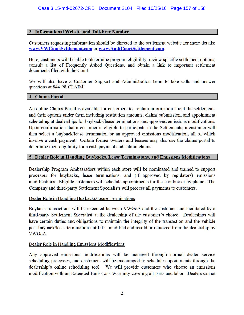# **I 3. Informational Website and Toll-Free Number**

Customers requesting infonnation should be directed to the settlement website for more details: **www.VWCourtSettlement.com or www.AudiCourtSettlement.com.** 

Here, customers will be able to detennine program eligibility, review specific settlement options, consult a list of Frequently Asked Questions, and obtain a link to important settlement documents filed with the Court.

We will also have a Customer Support and Administration team to take calls and answer questions at 844-98-CLAIM.

#### **I 4. Claims Portal**

An online Claims Portal is available for customers to: obtain information about the settlements and their options under them including restitution amounts, claims submission, and appointment scheduling at dealerships for buybacks/lease terminations and approved emissions modifications. Upon confirmation that a customer is eligible to participate in the Settlements, a customer will then select a buyback/lease termination or an approved emissions modification, all of which involve a cash payment. Certain former owners and lessees may also use the claims portal to determine their eligibility for a cash payment and submit claims.

# **I s. Dealer Role in Handling Buybacks, Lease Terminations, and Emissions Modifications**

Dealership Program Ambassadors within each store will be nominated and trained to support processes for buybacks, lease terminations, and (if approved by regulators) emissions modifications. Eligible customers will schedule appointments for these online or by phone. The Company and third-party Settlement Specialists will process all payments to customers.

# Dealer Role in Handling Buybacks/Lease Terminations

Buyback transactions will be executed between VWGoA and the customer and facilitated by a third-party Settlement Specialist at the dealership of the customer's choice. Dealerships will have certain duties and obligations to maintain the integrity of the transaction and the vehicle post-buyback/lease termination until it is modified and resold or removed from the dealership by VWGoA.

#### Dealer Role in Handling Emissions Modifications

Any approved emissions modifications will be managed through normal dealer service scheduling processes, and customers will be encouraged to schedule appointments through the dealership's online scheduling tool. We will provide customers who choose an emissions modification with an Extended Emissions Warranty covering all parts and labor. Dealers cannot